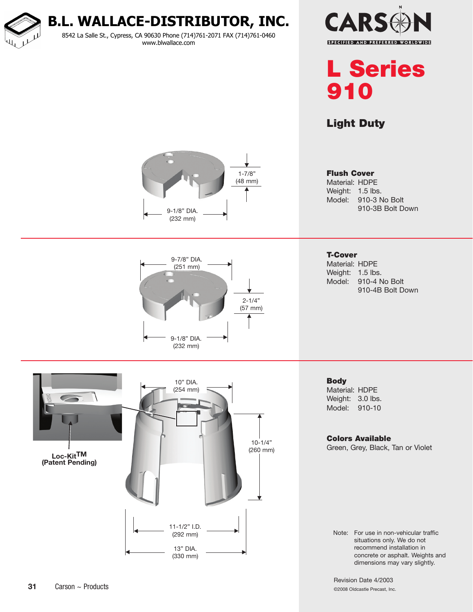**B.L. WALLACE-DISTRIBUTOR, INC.**

8542 La Salle St., Cypress, CA 90630 Phone (714)761-2071 FAX (714)761-0460 www.blwallace.com





## Light Duty

Flush Cover



Material: HDPE Weight: 1.5 lbs. Model: 910-3 No Bolt 910-3B Bolt Down



10-1/4" (260 mm)

13" DIA. (330 mm) T-Cover Material: HDPE Weight: 1.5 lbs. Model: 910-4 No Bolt 910-4B Bolt Down

**Body** Material: HDPE Weight: 3.0 lbs. Model: 910-10

## Colors Available

Green, Grey, Black, Tan or Violet

Note: For use in non-vehicular traffic situations only. We do not recommend installation in concrete or asphalt. Weights and dimensions may vary slightly.

Revision Date 4/2003 ©2008 Oldcastle Precast, Inc.